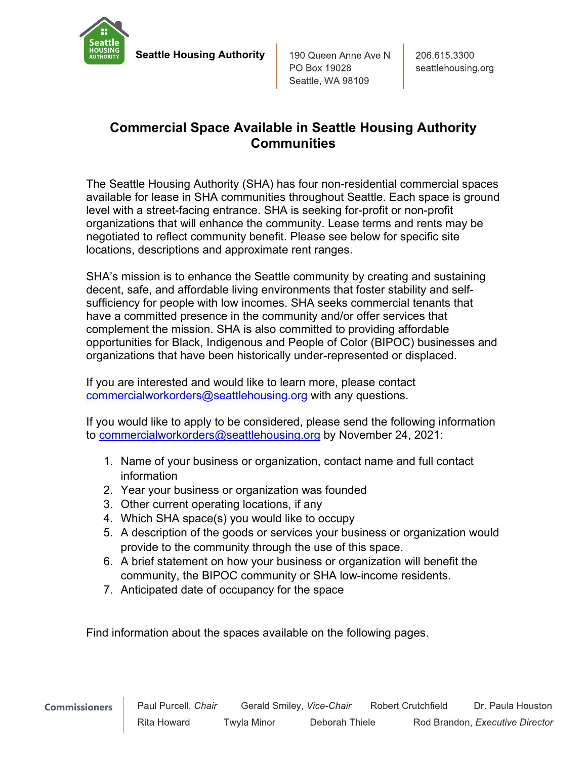

**Seattle Housing Authority**

190 Queen Anne Ave N PO Box 19028 Seattle, WA 98109

# **Commercial Space Available in Seattle Housing Authority Communities**

The Seattle Housing Authority (SHA) has four non-residential commercial spaces available for lease in SHA communities throughout Seattle. Each space is ground level with a street-facing entrance. SHA is seeking for-profit or non-profit organizations that will enhance the community. Lease terms and rents may be negotiated to reflect community benefit. Please see below for specific site locations, descriptions and approximate rent ranges.

SHA's mission is to enhance the Seattle community by creating and sustaining decent, safe, and affordable living environments that foster stability and selfsufficiency for people with low incomes. SHA seeks commercial tenants that have a committed presence in the community and/or offer services that complement the mission. SHA is also committed to providing affordable opportunities for Black, Indigenous and People of Color (BIPOC) businesses and organizations that have been historically under-represented or displaced.

If you are interested and would like to learn more, please contact [commercialworkorders@seattlehousing.org](mailto:commercialworkorders@seattlehousing.org) with any questions.

If you would like to apply to be considered, please send the following information to [commercialworkorders@seattlehousing.org](mailto:commercialworkorders@seattlehousing.org) by November 24, 2021:

- 1. Name of your business or organization, contact name and full contact information
- 2. Year your business or organization was founded
- 3. Other current operating locations, if any
- 4. Which SHA space(s) you would like to occupy
- 5. A description of the goods or services your business or organization would provide to the community through the use of this space.
- 6. A brief statement on how your business or organization will benefit the community, the BIPOC community or SHA low-income residents.
- 7. Anticipated date of occupancy for the space

Find information about the spaces available on the following pages.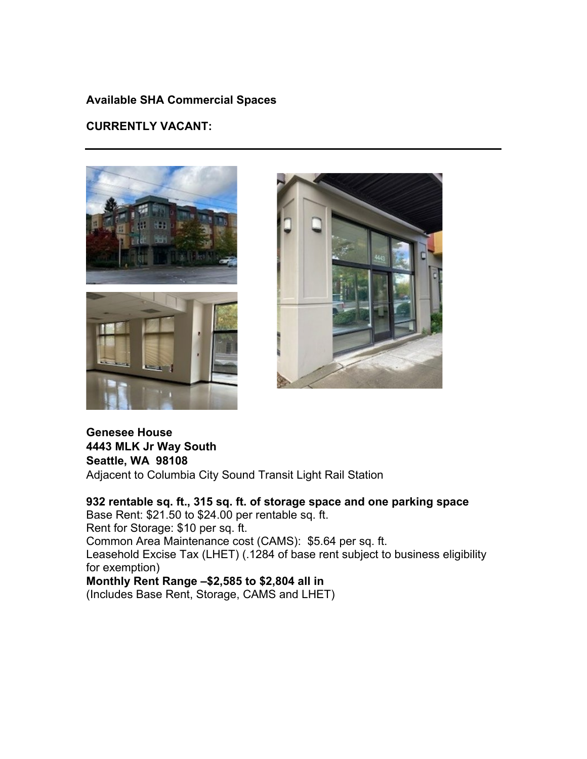## **Available SHA Commercial Spaces**

#### **CURRENTLY VACANT:**





# **Genesee House 4443 MLK Jr Way South Seattle, WA 98108**

Adjacent to Columbia City Sound Transit Light Rail Station

# **932 rentable sq. ft., 315 sq. ft. of storage space and one parking space**

Base Rent: \$21.50 to \$24.00 per rentable sq. ft. Rent for Storage: \$10 per sq. ft. Common Area Maintenance cost (CAMS): \$5.64 per sq. ft. Leasehold Excise Tax (LHET) (.1284 of base rent subject to business eligibility for exemption) **Monthly Rent Range –\$2,585 to \$2,804 all in**

(Includes Base Rent, Storage, CAMS and LHET)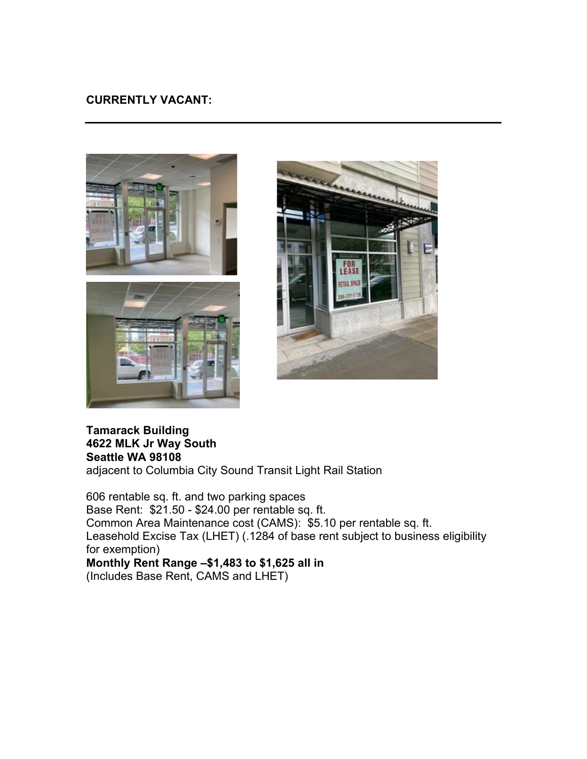## **CURRENTLY VACANT:**







#### **Tamarack Building 4622 MLK Jr Way South Seattle WA 98108** adjacent to Columbia City Sound Transit Light Rail Station

606 rentable sq. ft. and two parking spaces Base Rent: \$21.50 - \$24.00 per rentable sq. ft. Common Area Maintenance cost (CAMS): \$5.10 per rentable sq. ft. Leasehold Excise Tax (LHET) (.1284 of base rent subject to business eligibility for exemption) **Monthly Rent Range –\$1,483 to \$1,625 all in** (Includes Base Rent, CAMS and LHET)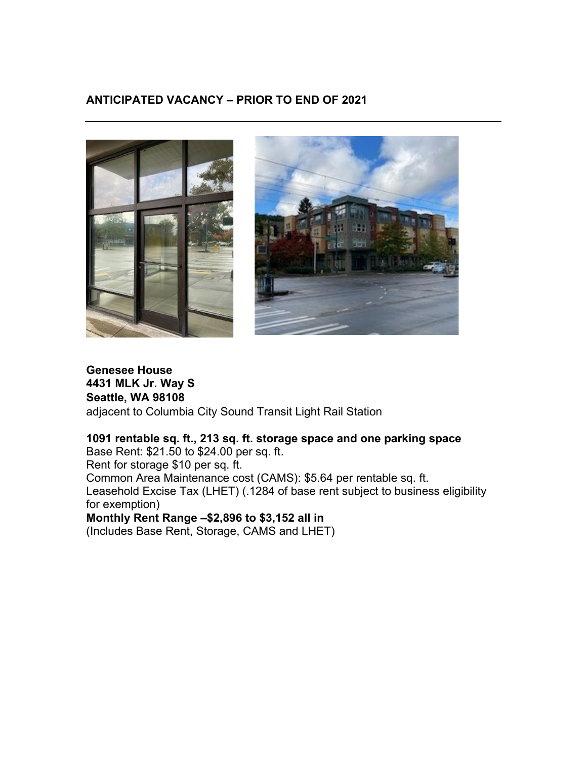# **ANTICIPATED VACANCY – PRIOR TO END OF 2021**



# **Genesee House 4431 MLK Jr. Way S Seattle, WA 98108** adjacent to Columbia City Sound Transit Light Rail Station

## **1091 rentable sq. ft., 213 sq. ft. storage space and one parking space**

Base Rent: \$21.50 to \$24.00 per sq. ft.

Rent for storage \$10 per sq. ft.

Common Area Maintenance cost (CAMS): \$5.64 per rentable sq. ft.

Leasehold Excise Tax (LHET) (.1284 of base rent subject to business eligibility for exemption)

**Monthly Rent Range –\$2,896 to \$3,152 all in** 

(Includes Base Rent, Storage, CAMS and LHET)